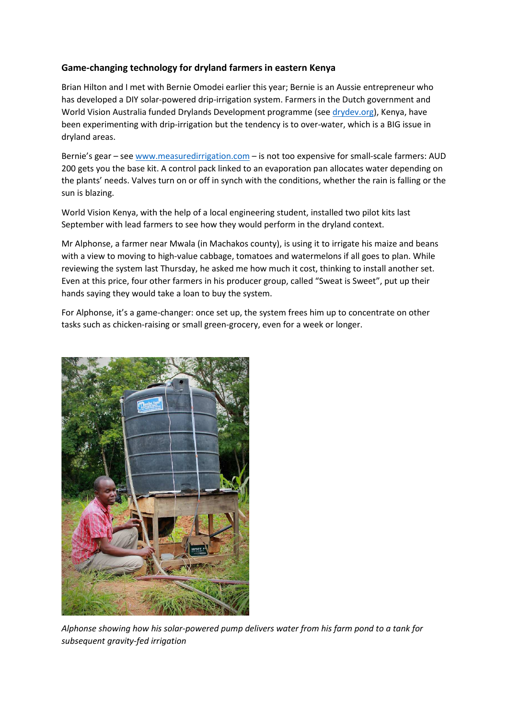## **Game-changing technology for dryland farmers in eastern Kenya**

Brian Hilton and I met with Bernie Omodei earlier this year; Bernie is an Aussie entrepreneur who has developed a DIY solar-powered drip-irrigation system. Farmers in the Dutch government and World Vision Australia funded Drylands Development programme (see drydev.org), Kenya, have been experimenting with drip-irrigation but the tendency is to over-water, which is a BIG issue in dryland areas.

Bernie's gear – see www.measuredirrigation.com – is not too expensive for small-scale farmers: AUD 200 gets you the base kit. A control pack linked to an evaporation pan allocates water depending on the plants' needs. Valves turn on or off in synch with the conditions, whether the rain is falling or the sun is blazing.

World Vision Kenya, with the help of a local engineering student, installed two pilot kits last September with lead farmers to see how they would perform in the dryland context.

Mr Alphonse, a farmer near Mwala (in Machakos county), is using it to irrigate his maize and beans with a view to moving to high-value cabbage, tomatoes and watermelons if all goes to plan. While reviewing the system last Thursday, he asked me how much it cost, thinking to install another set. Even at this price, four other farmers in his producer group, called "Sweat is Sweet", put up their hands saying they would take a loan to buy the system.

For Alphonse, it's a game-changer: once set up, the system frees him up to concentrate on other tasks such as chicken-raising or small green-grocery, even for a week or longer.



*Alphonse showing how his solar-powered pump delivers water from his farm pond to a tank for subsequent gravity-fed irrigation*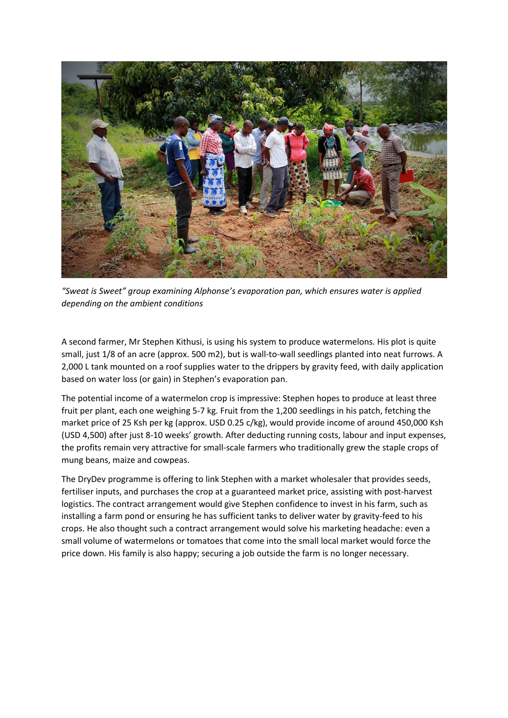

*"Sweat is Sweet" group examining Alphonse's evaporation pan, which ensures water is applied depending on the ambient conditions* 

A second farmer, Mr Stephen Kithusi, is using his system to produce watermelons. His plot is quite small, just 1/8 of an acre (approx. 500 m2), but is wall-to-wall seedlings planted into neat furrows. A 2,000 L tank mounted on a roof supplies water to the drippers by gravity feed, with daily application based on water loss (or gain) in Stephen's evaporation pan.

The potential income of a watermelon crop is impressive: Stephen hopes to produce at least three fruit per plant, each one weighing 5-7 kg. Fruit from the 1,200 seedlings in his patch, fetching the market price of 25 Ksh per kg (approx. USD 0.25 c/kg), would provide income of around 450,000 Ksh (USD 4,500) after just 8-10 weeks' growth. After deducting running costs, labour and input expenses, the profits remain very attractive for small-scale farmers who traditionally grew the staple crops of mung beans, maize and cowpeas.

The DryDev programme is offering to link Stephen with a market wholesaler that provides seeds, fertiliser inputs, and purchases the crop at a guaranteed market price, assisting with post-harvest logistics. The contract arrangement would give Stephen confidence to invest in his farm, such as installing a farm pond or ensuring he has sufficient tanks to deliver water by gravity-feed to his crops. He also thought such a contract arrangement would solve his marketing headache: even a small volume of watermelons or tomatoes that come into the small local market would force the price down. His family is also happy; securing a job outside the farm is no longer necessary.